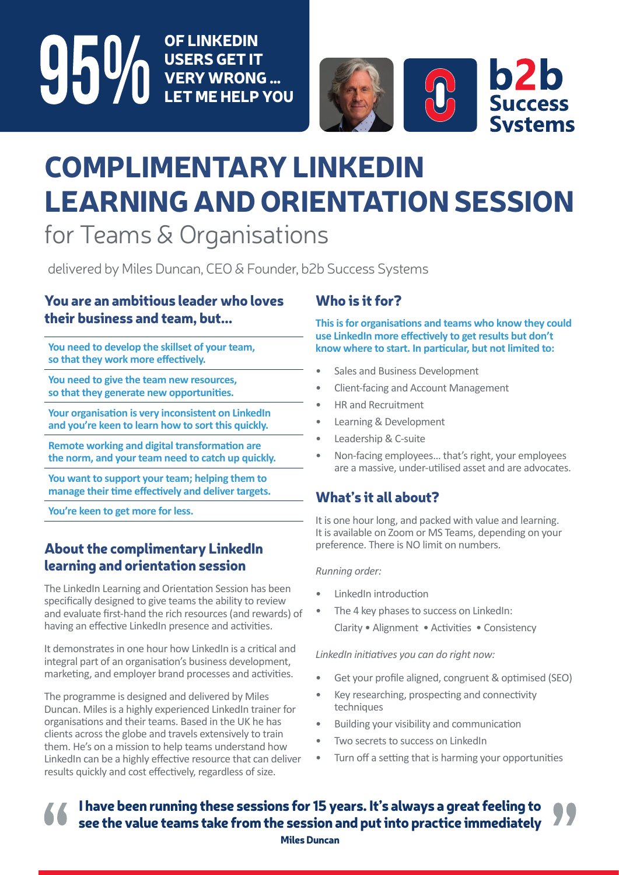OF LINKEDIN **95%** USERS GET IT VERY WRONG … LET ME HELP YOU



# COMPLIMENTARY LINKEDIN LEARNING AND ORIENTATION SESSION for Teams & Organisations

delivered by Miles Duncan, CEO & Founder, b2b Success Systems

## You are an ambitious leader who loves their business and team, but...

**You need to develop the skillset of your team, so that they work more effectively.** 

**You need to give the team new resources, so that they generate new opportunities.**

**Your organisation is very inconsistent on LinkedIn and you're keen to learn how to sort this quickly.**

**Remote working and digital transformation are the norm, and your team need to catch up quickly.**

**You want to support your team; helping them to manage their time effectively and deliver targets.**

**You're keen to get more for less.**

# About the complimentary LinkedIn learning and orientation session

The LinkedIn Learning and Orientation Session has been specifically designed to give teams the ability to review and evaluate first-hand the rich resources (and rewards) of having an effective LinkedIn presence and activities.

It demonstrates in one hour how LinkedIn is a critical and integral part of an organisation's business development, marketing, and employer brand processes and activities.

The programme is designed and delivered by Miles Duncan. Miles is a highly experienced LinkedIn trainer for organisations and their teams. Based in the UK he has clients across the globe and travels extensively to train them. He's on a mission to help teams understand how LinkedIn can be a highly effective resource that can deliver results quickly and cost effectively, regardless of size.

# Who is it for?

**This is for organisations and teams who know they could use LinkedIn more effectively to get results but don't know where to start. In particular, but not limited to:**

- Sales and Business Development
- Client-facing and Account Management
- HR and Recruitment
- Learning & Development
- Leadership & C-suite
- Non-facing employees… that's right, your employees are a massive, under-utilised asset and are advocates.

# What's it all about?

It is one hour long, and packed with value and learning. It is available on Zoom or MS Teams, depending on your preference. There is NO limit on numbers.

#### *Running order:*

- LinkedIn introduction
- The 4 key phases to success on LinkedIn: Clarity • Alignment • Activities • Consistency

*LinkedIn initiatives you can do right now:*

- Get your profile aligned, congruent & optimised (SEO)
- Key researching, prospecting and connectivity techniques
- Building your visibility and communication
- Two secrets to success on LinkedIn
- Turn off a setting that is harming your opportunities

I have been running these sessions for 15 years. It's always a great feeling to see the value teams take from the session and put into practice immediately

Miles Duncan